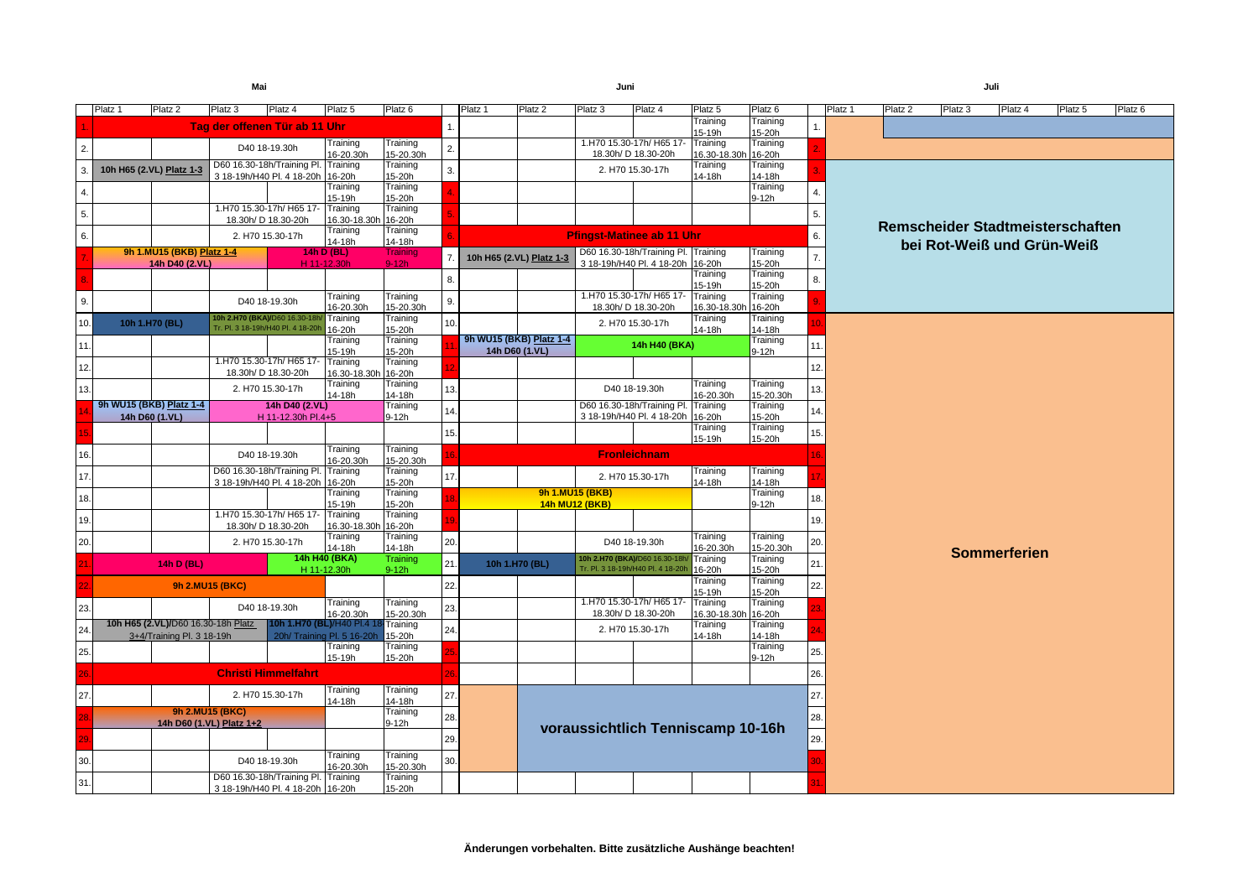|     | Platz <sub>1</sub>                                                                | Platz <sub>2</sub>                 | Platz <sub>3</sub>       | Platz 4                                                                 | Platz <sub>5</sub>                  | Platz <sub>6</sub>    |                | Platz <sub>1</sub>                        | Platz 2                                                                             | Platz <sub>3</sub>                | Platz <sub>4</sub>                | Platz <sub>5</sub>              | Platz <sub>6</sub>                      |                            | Platz <sub>1</sub> | Platz <sub>2</sub>                      | Platz <sub>3</sub> | Platz 4             | Platz <sub>5</sub> | Platz <sub>6</sub> |  |
|-----|-----------------------------------------------------------------------------------|------------------------------------|--------------------------|-------------------------------------------------------------------------|-------------------------------------|-----------------------|----------------|-------------------------------------------|-------------------------------------------------------------------------------------|-----------------------------------|-----------------------------------|---------------------------------|-----------------------------------------|----------------------------|--------------------|-----------------------------------------|--------------------|---------------------|--------------------|--------------------|--|
|     |                                                                                   |                                    |                          | Tag der offenen Tür ab 11 Uhr                                           |                                     |                       |                |                                           |                                                                                     |                                   |                                   | Training<br>15-19h              | Training<br>15-20h                      |                            |                    |                                         |                    |                     |                    |                    |  |
| 2.  |                                                                                   |                                    |                          | D40 18-19.30h                                                           | Training                            | Training              | 2.             |                                           |                                                                                     |                                   | 1.H70 15.30-17h/ H65 17- Training |                                 | Training                                |                            |                    |                                         |                    |                     |                    |                    |  |
|     |                                                                                   |                                    |                          | D60 16.30-18h/Training Pl. Training                                     | 16-20.30h                           | 15-20.30h<br>Training | 3.             |                                           |                                                                                     | 18.30h/ D 18.30-20h               | 2. H70 15.30-17h                  | 16.30-18.30h 16-20h<br>Training | Training                                |                            |                    |                                         |                    |                     |                    |                    |  |
| 3   |                                                                                   | 10h H65 (2.VL) Platz 1-3           |                          | 3 18-19h/H40 Pl. 4 18-20h 16-20h                                        | Training                            | 15-20h<br>Training    |                |                                           |                                                                                     |                                   |                                   | 14-18h                          | 14-18h<br>Training                      |                            |                    |                                         |                    |                     |                    |                    |  |
| -4. |                                                                                   |                                    |                          |                                                                         | 15-19h                              | 15-20h                |                |                                           |                                                                                     |                                   |                                   |                                 | $9-12h$                                 | 4.                         |                    |                                         |                    |                     |                    |                    |  |
| 5.  |                                                                                   |                                    |                          | 1.H70 15.30-17h/ H65 17- Training<br>18.30h/ D 18.30-20h                | 16.30-18.30h 16-20h                 | Training              |                |                                           |                                                                                     |                                   |                                   |                                 |                                         |                            |                    |                                         |                    |                     |                    |                    |  |
| 6.  |                                                                                   |                                    |                          | 2. H70 15.30-17h                                                        | Training                            | Training              |                |                                           |                                                                                     |                                   |                                   |                                 |                                         | 6.                         |                    | <b>Remscheider Stadtmeisterschaften</b> |                    |                     |                    |                    |  |
|     | 9h 1.MU15 (BKB) Platz 1-4<br><b>14h D (BL)</b>                                    |                                    |                          | 14-18h                                                                  | 14-18h<br>Training                  |                       |                |                                           | <b>Pfingst-Matinee ab 11 Uhr</b><br>D60 16.30-18h/Training Pl. Training<br>Training |                                   |                                   |                                 |                                         | bei Rot-Weiß und Grün-Weiß |                    |                                         |                    |                     |                    |                    |  |
|     |                                                                                   | 14h D40 (2.VL)                     |                          |                                                                         | H 11-12.30h                         | $9-12h$               | 7 <sub>1</sub> | 10h H65 (2.VL) Platz 1-3                  |                                                                                     |                                   | 3 18-19h/H40 Pl. 4 18-20h 16-20h  |                                 | 15-20h                                  | 7.                         |                    |                                         |                    |                     |                    |                    |  |
|     |                                                                                   |                                    |                          |                                                                         |                                     |                       | 8.             |                                           |                                                                                     |                                   |                                   | Training<br>15-19h              | Training<br>15-20h                      | 8.                         |                    |                                         |                    |                     |                    |                    |  |
| 9.  |                                                                                   |                                    |                          | D40 18-19.30h                                                           | Training                            | Training              | 9.             |                                           |                                                                                     |                                   | 1.H70 15.30-17h/ H65 17- Training |                                 | Training                                |                            |                    |                                         |                    |                     |                    |                    |  |
|     |                                                                                   |                                    |                          | 10h 2.H70 (BKA)/D60 16.30-18h/                                          | 16-20.30h<br>Training               | 15-20.30h<br>Training |                |                                           |                                                                                     | 18.30h/ D 18.30-20h               |                                   | 16.30-18.30h<br>Training        | 16-20h<br>Training                      |                            |                    |                                         |                    |                     |                    |                    |  |
| 10. |                                                                                   | 10h 1.H70 (BL)                     |                          | Tr. Pl. 3 18-19h/H40 Pl. 4 18-20h                                       | 16-20h                              | 15-20h                | 10.            |                                           |                                                                                     |                                   | 2. H70 15.30-17h                  | 14-18h                          | 14-18h                                  |                            |                    |                                         |                    |                     |                    |                    |  |
| 11. |                                                                                   |                                    |                          |                                                                         | Training<br>15-19h                  | Training<br>15-20h    |                | 9h WU15 (BKB) Platz 1-4<br>14h D60 (1.VL) |                                                                                     |                                   | 14h H40 (BKA)                     |                                 | $\overline{\text{Training}}$<br>$9-12h$ | 11.                        |                    |                                         |                    |                     |                    |                    |  |
| 12. |                                                                                   |                                    |                          | 1.H70 15.30-17h/ H65 17-                                                | Training                            | Training              |                |                                           |                                                                                     |                                   |                                   |                                 |                                         | 12.                        |                    |                                         |                    |                     |                    |                    |  |
|     |                                                                                   |                                    |                          | 18.30h/ D 18.30-20h                                                     | 16.30-18.30h 16-20h<br>Training     | Training              |                |                                           |                                                                                     |                                   |                                   | Training                        | Training                                |                            |                    |                                         |                    |                     |                    |                    |  |
| 13. |                                                                                   |                                    |                          | 2. H70 15.30-17h                                                        | 14-18h                              | 14-18h                | 13.            |                                           |                                                                                     |                                   | D40 18-19.30h                     | 16-20.30h                       | 15-20.30h                               | 13.                        |                    |                                         |                    |                     |                    |                    |  |
|     | 9h WU15 (BKB) Platz 1-4<br>14h D40 (2.VL)<br>14h D60 (1.VL)<br>H 11-12.30h Pl.4+5 |                                    |                          |                                                                         | Training<br>$9-12h$                 | 14.                   |                |                                           | D60 16.30-18h/Training Pl. Training<br>3 18-19h/H40 Pl. 4 18-20h                    |                                   | 16-20h                            | Training<br>14.<br>15-20h       |                                         |                            |                    |                                         |                    |                     |                    |                    |  |
|     |                                                                                   |                                    |                          |                                                                         |                                     |                       | 15.            |                                           |                                                                                     |                                   |                                   | Training                        | Training                                | 15.                        |                    |                                         |                    |                     |                    |                    |  |
|     |                                                                                   |                                    |                          |                                                                         | Training                            | Training              |                |                                           |                                                                                     |                                   |                                   | 15-19h                          | 15-20h                                  |                            |                    |                                         |                    |                     |                    |                    |  |
| 16. |                                                                                   | D40 18-19.30h                      |                          |                                                                         | 16-20.30h                           | 15-20.30h             |                |                                           |                                                                                     |                                   | <b>Fronleichnam</b>               |                                 |                                         |                            |                    |                                         |                    |                     |                    |                    |  |
| 17. |                                                                                   |                                    |                          | D60 16.30-18h/Training Pl. Training<br>3 18-19h/H40 Pl. 4 18-20h 16-20h |                                     | Training<br>15-20h    | 17.            |                                           |                                                                                     |                                   | 2. H70 15.30-17h                  | Training<br>14-18h              | Training<br>14-18h                      |                            |                    |                                         |                    |                     |                    |                    |  |
| 18. |                                                                                   |                                    |                          |                                                                         | Training                            | Training              |                |                                           |                                                                                     | 9h 1.MU15 (BKB)                   |                                   |                                 | Training                                | 18.                        |                    |                                         |                    |                     |                    |                    |  |
|     |                                                                                   |                                    |                          | 1.H70 15.30-17h/ H65 17- Training                                       | 15-19h                              | 15-20h<br>Training    |                |                                           |                                                                                     | 14h MU12 (BKB)                    |                                   |                                 | $9-12h$                                 |                            |                    |                                         |                    |                     |                    |                    |  |
| 19. |                                                                                   |                                    |                          | 18.30h/ D 18.30-20h                                                     | 16.30-18.30h 16-20h                 |                       |                |                                           |                                                                                     |                                   |                                   |                                 |                                         | 19.                        |                    |                                         |                    |                     |                    |                    |  |
| 20. |                                                                                   |                                    |                          | 2. H70 15.30-17h                                                        | Training<br>14-18h                  | Training<br>14-18h    | 20.            |                                           |                                                                                     |                                   | D40 18-19.30h                     | Training<br>16-20.30h           | Training<br>15-20.30h                   | 20.                        |                    |                                         |                    |                     |                    |                    |  |
|     |                                                                                   | 14h D (BL)                         |                          | 14h H40 (BKA)                                                           |                                     | Training              | 21.            | 10h 1.H70 (BL)                            |                                                                                     | 10h 2.H70 (BKA)/D60 16.30-18h/    |                                   | Training                        | Training                                | 21.                        |                    |                                         |                    | <b>Sommerferien</b> |                    |                    |  |
|     |                                                                                   |                                    |                          |                                                                         | H 11-12.30h                         | $9-12h$               |                |                                           |                                                                                     | Tr. Pl. 3 18-19h/H40 Pl. 4 18-20h |                                   | 16-20h<br>Training              | 15-20h<br>Training                      |                            |                    |                                         |                    |                     |                    |                    |  |
|     |                                                                                   |                                    | <b>9h 2.MU15 (BKC)</b>   |                                                                         |                                     |                       | 22.            |                                           |                                                                                     |                                   |                                   | 15-19h                          | 15-20h                                  | 22.                        |                    |                                         |                    |                     |                    |                    |  |
| 23. |                                                                                   |                                    |                          | D40 18-19.30h                                                           | Training<br>16-20.30h               | Training<br>15-20.30h | 23.            |                                           |                                                                                     | 18.30h/ D 18.30-20h               | 1.H70 15.30-17h/ H65 17- Training | 16.30-18.30h 16-20h             | Training                                |                            |                    |                                         |                    |                     |                    |                    |  |
| 24  |                                                                                   | 10h H65 (2.VL)/D60 16.30-18h Platz |                          |                                                                         | 10h 1.H70 (BL)/H40 Pl.4 18 Training |                       | 24.            |                                           |                                                                                     |                                   | 2. H70 15.30-17h                  | Training                        | Training                                |                            |                    |                                         |                    |                     |                    |                    |  |
|     |                                                                                   | 3+4/Training Pl. 3 18-19h          |                          | 20h/ Training Pl. 5 16-20h                                              | Training                            | 15-20h<br>Training    |                |                                           |                                                                                     |                                   |                                   | 14-18h                          | 14-18h<br>Training                      |                            |                    |                                         |                    |                     |                    |                    |  |
| 25. |                                                                                   |                                    |                          |                                                                         | 15-19h                              | 15-20h                |                |                                           |                                                                                     |                                   |                                   |                                 | $9-12h$                                 | 25.                        |                    |                                         |                    |                     |                    |                    |  |
| 26  |                                                                                   |                                    |                          | <b>Christi Himmelfahrt</b>                                              |                                     |                       |                |                                           |                                                                                     |                                   |                                   |                                 |                                         | 26.                        |                    |                                         |                    |                     |                    |                    |  |
| 27. |                                                                                   |                                    |                          | 2. H70 15.30-17h                                                        | Training                            | Training              | 27.            |                                           |                                                                                     |                                   |                                   |                                 |                                         | 27.                        |                    |                                         |                    |                     |                    |                    |  |
|     | <b>9h 2.MU15 (BKC)</b>                                                            |                                    |                          | 14-18h                                                                  | 14-18h<br>Training                  |                       |                |                                           |                                                                                     |                                   |                                   |                                 |                                         |                            |                    |                                         |                    |                     |                    |                    |  |
|     |                                                                                   |                                    | 14h D60 (1.VL) Platz 1+2 |                                                                         |                                     | $9-12h$               | 28.            |                                           |                                                                                     | voraussichtlich Tenniscamp 10-16h |                                   |                                 |                                         | 28.                        |                    |                                         |                    |                     |                    |                    |  |
|     |                                                                                   |                                    |                          |                                                                         |                                     |                       | 29.            |                                           |                                                                                     |                                   |                                   |                                 |                                         | 29.                        |                    |                                         |                    |                     |                    |                    |  |
| 30. |                                                                                   |                                    |                          | D40 18-19.30h                                                           | Training                            | Training              | 30.            |                                           |                                                                                     |                                   |                                   |                                 |                                         |                            |                    |                                         |                    |                     |                    |                    |  |
|     |                                                                                   |                                    |                          | D60 16.30-18h/Training Pl. Training                                     | 16-20.30h                           | 15-20.30h<br>Training |                |                                           |                                                                                     |                                   |                                   |                                 |                                         |                            |                    |                                         |                    |                     |                    |                    |  |
| 31. |                                                                                   |                                    |                          | 3 18-19h/H40 Pl. 4 18-20h 16-20h                                        |                                     | 15-20h                |                |                                           |                                                                                     |                                   |                                   |                                 |                                         |                            |                    |                                         |                    |                     |                    |                    |  |

| Mai                                                     |                                 |                             |                |                    |                          | Juni                       |                                     |                                 |                       |                |         |         |                            | Juli                |                                  |                    |  |  |  |
|---------------------------------------------------------|---------------------------------|-----------------------------|----------------|--------------------|--------------------------|----------------------------|-------------------------------------|---------------------------------|-----------------------|----------------|---------|---------|----------------------------|---------------------|----------------------------------|--------------------|--|--|--|
| Platz 4                                                 | Platz <sub>5</sub>              | $\overline{\text{Platz}}$ 6 |                | Platz <sub>1</sub> | Platz 2                  | Platz <sub>3</sub>         | Platz 4                             | Platz <sub>5</sub>              | Platz <sub>6</sub>    |                | Platz 1 | Platz 2 | Platz 3                    | Platz 4             | Platz <sub>5</sub>               | Platz <sub>6</sub> |  |  |  |
| nen Tür ab 11 Uhr                                       |                                 |                             | $\mathbf{1}$ . |                    |                          |                            |                                     | Training<br>15-19h              | Training<br>15-20h    |                |         |         |                            |                     |                                  |                    |  |  |  |
| 0 18-19.30h                                             | Training                        | Training                    | 2.             |                    |                          |                            | 1.H70 15.30-17h/ H65 17-            | Training                        | Training              |                |         |         |                            |                     |                                  |                    |  |  |  |
| 0-18h/Training Pl. Training                             | 16-20.30h                       | 15-20.30h<br>Training       |                |                    |                          |                            | 18.30h/ D 18.30-20h                 | 16.30-18.30h 16-20h<br>Training | Training              |                |         |         |                            |                     |                                  |                    |  |  |  |
| /H40 Pl. 4 18-20h 16-20h                                |                                 | 15-20h                      | 3.             |                    |                          |                            | 2. H70 15.30-17h                    | 14-18h                          | 14-18h                |                |         |         |                            |                     |                                  |                    |  |  |  |
|                                                         | Training                        | Training                    |                |                    |                          |                            |                                     |                                 | Training              | 4.             |         |         |                            |                     |                                  |                    |  |  |  |
| .30-17h/ H65 17-                                        | 15-19h<br>Training              | 15-20h<br>Training          |                |                    |                          |                            |                                     |                                 | $9-12h$               |                |         |         |                            |                     |                                  |                    |  |  |  |
| √ D 18.30-20h                                           | 16.30-18.30h 16-20h             |                             |                |                    |                          |                            |                                     |                                 |                       | 5.             |         |         |                            |                     |                                  |                    |  |  |  |
| 70 15.30-17h                                            | Training<br>14-18h              | Training<br>14-18h          |                |                    |                          |                            | <b>Pfingst-Matinee ab 11 Uhr</b>    |                                 |                       | 6.             |         |         |                            |                     | Remscheider Stadtmeisterschaften |                    |  |  |  |
|                                                         | 14h D (BL)                      | Training                    | 7.             |                    | 10h H65 (2.VL) Platz 1-3 |                            | D60 16.30-18h/Training Pl. Training | Training                        |                       | $\overline{7}$ |         |         | bei Rot-Weiß und Grün-Weiß |                     |                                  |                    |  |  |  |
|                                                         | H 11-12.30h                     | $9-12h$                     |                |                    |                          |                            | 3 18-19h/H40 Pl. 4 18-20h 16-20h    |                                 | 15-20h                |                |         |         |                            |                     |                                  |                    |  |  |  |
|                                                         |                                 |                             | 8.             |                    |                          |                            |                                     | Training<br>15-19h              | Training<br>15-20h    | 8.             |         |         |                            |                     |                                  |                    |  |  |  |
| 0 18-19.30h                                             | Training                        | Training                    | 9.             |                    |                          |                            | 1.H70 15.30-17h/ H65 17-            | Training                        | Training              |                |         |         |                            |                     |                                  |                    |  |  |  |
|                                                         | 16-20.30h                       | 15-20.30h                   |                |                    |                          |                            | 18.30h/ D 18.30-20h                 | 16.30-18.30h 16-20h             |                       |                |         |         |                            |                     |                                  |                    |  |  |  |
| BKA)/D60 16.30-18h/<br>19h/H40 Pl. 4 18-20h 16-20h      | / Training                      | Training<br>15-20h          | 10.            |                    |                          |                            | 2. H70 15.30-17h                    | Training<br>14-18h              | Training<br>14-18h    |                |         |         |                            |                     |                                  |                    |  |  |  |
|                                                         | Training                        | Training                    |                |                    | 9h WU15 (BKB) Platz 1-4  |                            |                                     |                                 | Training              |                |         |         |                            |                     |                                  |                    |  |  |  |
|                                                         | 15-19h                          | 15-20h                      |                |                    | 14h D60 (1.VL)           |                            | 14h H40 (BKA)                       |                                 | $9-12h$               | 11             |         |         |                            |                     |                                  |                    |  |  |  |
| .30-17h/ H65 17-<br>h/ D 18.30-20h                      | Training<br>16.30-18.30h 16-20h | Training                    |                |                    |                          |                            |                                     |                                 |                       | 12.            |         |         |                            |                     |                                  |                    |  |  |  |
| 70 15.30-17h                                            | Training<br>14-18h              | Training<br>14-18h          | 13.            |                    |                          |                            | D40 18-19.30h                       | Training<br>16-20.30h           | Training<br>15-20.30h | 13.            |         |         |                            |                     |                                  |                    |  |  |  |
| 14h D40 (2.VL)                                          |                                 | Training                    | 14.            |                    |                          | D60 16.30-18h/Training Pl. |                                     | Training                        | Training              | 14.            |         |         |                            |                     |                                  |                    |  |  |  |
| H 11-12.30h Pl.4+5                                      |                                 | $9-12h$                     |                |                    |                          |                            | 3 18-19h/H40 Pl. 4 18-20h 16-20h    |                                 | 15-20h                |                |         |         |                            |                     |                                  |                    |  |  |  |
|                                                         |                                 |                             | 15.            |                    |                          |                            |                                     | Training<br>15-19h              | Training<br>15-20h    | 15.            |         |         |                            |                     |                                  |                    |  |  |  |
| 0 18-19.30h                                             | Training<br>16-20.30h           | Training<br>15-20.30h       | 16.            |                    |                          |                            | <b>Fronleichnam</b>                 |                                 |                       | 16.            |         |         |                            |                     |                                  |                    |  |  |  |
| 0-18h/Training Pl. Training<br>/H40 Pl. 4 18-20h 16-20h |                                 | Training<br>15-20h          | 17.            |                    |                          |                            | 2. H70 15.30-17h                    | Training<br>14-18h              | Training<br>14-18h    |                |         |         |                            |                     |                                  |                    |  |  |  |
|                                                         | Training                        | Training                    |                |                    |                          | 9h 1.MU15 (BKB)            |                                     |                                 | Training              | 18.            |         |         |                            |                     |                                  |                    |  |  |  |
|                                                         | 15-19h                          | 15-20h                      | 18.            | 14h MU12 (BKB)     |                          |                            |                                     |                                 | $9-12h$               |                |         |         |                            |                     |                                  |                    |  |  |  |
| .30-17h/ H65 17-<br>√ D 18.30-20h                       | Training<br>16.30-18.30h 16-20h | Training                    |                |                    |                          |                            |                                     |                                 |                       | 19.            |         |         |                            |                     |                                  |                    |  |  |  |
| 70 15.30-17h                                            | Training<br>14-18h              | Training<br>14-18h          | 20.            |                    |                          |                            | D40 18-19.30h                       | Training<br>16-20.30h           | Training<br>15-20.30h | 20.            |         |         |                            |                     |                                  |                    |  |  |  |
|                                                         | 14h H40 (BKA)                   | <b>Training</b>             | 21.            |                    | 10h 1.H70 (BL)           |                            | 10h 2.H70 (BKA)/D60 16.30-18h/      | Training                        | Training              | 21.            |         |         |                            | <b>Sommerferien</b> |                                  |                    |  |  |  |
|                                                         | H 11-12.30h                     | $9-12h$                     |                |                    |                          |                            | Tr. Pl. 3 18-19h/H40 Pl. 4 18-20h   | 16-20h                          | 15-20h                |                |         |         |                            |                     |                                  |                    |  |  |  |
|                                                         |                                 |                             | 22.            |                    |                          |                            |                                     | Training<br>15-19h              | Training<br>15-20h    | 22.            |         |         |                            |                     |                                  |                    |  |  |  |
| 0 18-19.30h                                             | Training                        | Training                    | 23.            |                    |                          |                            | 1.H70 15.30-17h/ H65 17-            | Training                        | Training              |                |         |         |                            |                     |                                  |                    |  |  |  |
|                                                         | 16-20.30h                       | 15-20.30h                   |                |                    |                          |                            | 18.30h/ D 18.30-20h                 | 16.30-18.30h 16-20h             |                       |                |         |         |                            |                     |                                  |                    |  |  |  |
| 10h 1.H70 (BL)/H40 Pl.4 18 Training                     | 20h/ Training Pl. 5 16-20h      | 15-20h                      | 24.            |                    |                          |                            | 2. H70 15.30-17h                    | Training<br>14-18h              | Training<br>14-18h    |                |         |         |                            |                     |                                  |                    |  |  |  |
|                                                         | Training                        | Training                    |                |                    |                          |                            |                                     |                                 | Training              | 25.            |         |         |                            |                     |                                  |                    |  |  |  |
|                                                         | 15-19h                          | 15-20h                      |                |                    |                          |                            |                                     |                                 | $9-12h$               |                |         |         |                            |                     |                                  |                    |  |  |  |
| <b>Himmelfahrt</b>                                      |                                 |                             | 26.            |                    |                          |                            |                                     |                                 |                       | 26.            |         |         |                            |                     |                                  |                    |  |  |  |
| 70 15.30-17h                                            | Training<br>14-18h              | Training<br>14-18h          | 27.            |                    |                          |                            |                                     |                                 |                       | 27.            |         |         |                            |                     |                                  |                    |  |  |  |
|                                                         |                                 | Training<br>$9-12h$         | 28.            |                    |                          |                            |                                     |                                 |                       |                | 28.     |         |                            |                     |                                  |                    |  |  |  |
| <u>+2</u>                                               |                                 |                             | 29.            |                    |                          |                            | voraussichtlich Tenniscamp 10-16h   |                                 |                       | 29.            |         |         |                            |                     |                                  |                    |  |  |  |
|                                                         | Training                        | Training                    |                |                    |                          |                            |                                     |                                 |                       |                |         |         |                            |                     |                                  |                    |  |  |  |
| 0 18-19.30h                                             | 16-20.30h                       | 15-20.30h                   | 30.            |                    |                          |                            |                                     |                                 |                       |                |         |         |                            |                     |                                  |                    |  |  |  |
| 0-18h/Training Pl. Training<br>/H40 Pl. 4 18-20h 16-20h |                                 | Training<br>15-20h          |                |                    |                          |                            |                                     |                                 |                       |                |         |         |                            |                     |                                  |                    |  |  |  |
|                                                         |                                 |                             |                |                    |                          |                            |                                     |                                 |                       |                |         |         |                            |                     |                                  |                    |  |  |  |